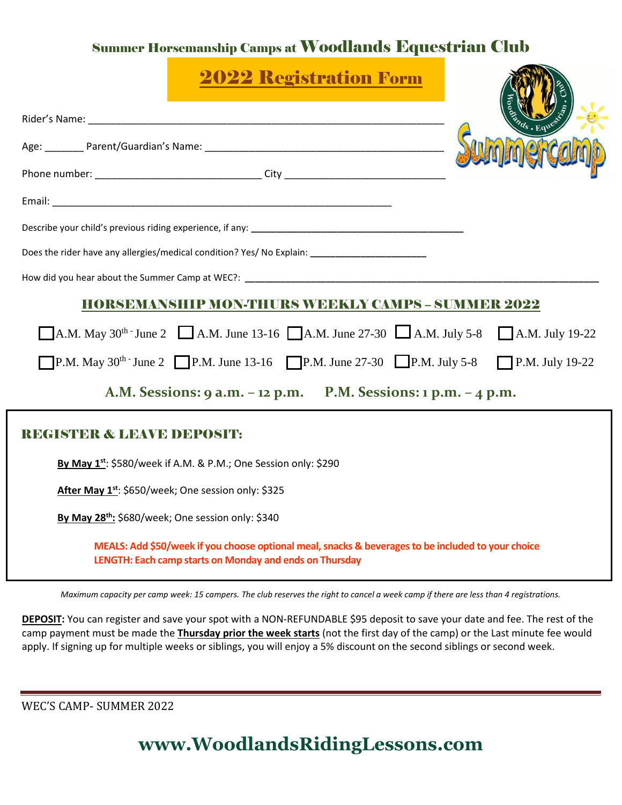## Summer Horsemanship Camps at Woodlands Equestrian Club

| <b>2022 Registration Form</b>                                                                                                                                 |  |
|---------------------------------------------------------------------------------------------------------------------------------------------------------------|--|
|                                                                                                                                                               |  |
|                                                                                                                                                               |  |
|                                                                                                                                                               |  |
|                                                                                                                                                               |  |
|                                                                                                                                                               |  |
| Does the rider have any allergies/medical condition? Yes/ No Explain: ______________________________                                                          |  |
|                                                                                                                                                               |  |
| <b>HORSEMANSHIP MON-THURS WEEKLY CAMPS - SUMMER 2022</b>                                                                                                      |  |
| A.M. May 30 <sup>th</sup> June 2 A.M. June 13-16 A.M. June 27-30 A.M. July 5-8 A.M. July 19-22                                                                |  |
| <b>P.M.</b> May 30 <sup>th</sup> June 2 <b>P.M.</b> June 13-16 <b>P.M.</b> June 27-30 <b>P.M.</b> July 5-8 <b>P.M.</b> July 19-22                             |  |
| A.M. Sessions: 9 a.m. - 12 p.m. P.M. Sessions: 1 p.m. - 4 p.m.                                                                                                |  |
| <b>HISTER &amp; LEAVE DEPOSITE</b>                                                                                                                            |  |
| By May 1 <sup>st</sup> : \$580/week if A.M. & P.M.; One Session only: \$290                                                                                   |  |
| After May 1st: \$650/week; One session only: \$325                                                                                                            |  |
| By May 28 <sup>th</sup> : \$680/week; One session only: \$340                                                                                                 |  |
| MEALS: Add \$50/week if you choose optional meal, snacks & beverages to be included to your choice<br>LENGTH: Each camp starts on Monday and ends on Thursday |  |

.<br>Maximum capacity per camp week: 15 campers. The club reserves the right to cancel a week camp if there are less than 4 registrations.

**DEPOSIT:** You can register and save your spot with a NON-REFUNDABLE \$95 deposit to save your date and fee. The rest of the camp payment must be made the **Thursday prior the week starts** (not the first day of the camp) or the Last minute fee would apply. If signing up for multiple weeks or siblings, you will enjoy a 5% discount on the second siblings or second week. **Las**

WEC'S CAMP- SUMMER 2022